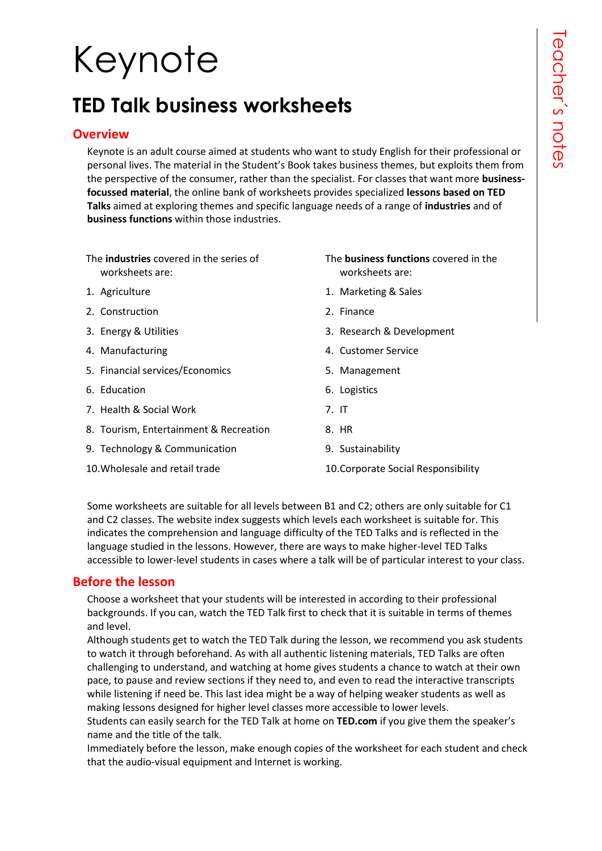# Keynote

# **TED Talk business worksheets**

## **Overview**

Keynote is an adult course aimed at students who want to study English for their professional or personal lives. The material in the Student's Book takes business themes, but exploits them from the perspective of the consumer, rather than the specialist. For classes that want more **businessfocussed material**, the online bank of worksheets provides specialized **lessons based on TED Talks** aimed at exploring themes and specific language needs of a range of **industries** and of **business functions** within those industries.

The **industries** covered in the series of worksheets are:

- 1. Agriculture
- 2. Construction
- 3. Energy & Utilities
- 4. Manufacturing
- 5. Financial services/Economics
- 6. Education
- 7. Health & Social Work
- 8. Tourism, Entertainment & Recreation
- 9. Technology & Communication
- 10.Wholesale and retail trade
- The **business functions** covered in the worksheets are:
- 1. Marketing & Sales
- 2. Finance
- 3. Research & Development
- 4. Customer Service
- 5. Management
- 6. Logistics
- 7. IT
- 8. HR
- 9. Sustainability
- 10.Corporate Social Responsibility

Some worksheets are suitable for all levels between B1 and C2; others are only suitable for C1 and C2 classes. The website index suggests which levels each worksheet is suitable for. This indicates the comprehension and language difficulty of the TED Talks and is reflected in the language studied in the lessons. However, there are ways to make higher-level TED Talks accessible to lower-level students in cases where a talk will be of particular interest to your class.

# **Before the lesson**

Choose a worksheet that your students will be interested in according to their professional backgrounds. If you can, watch the TED Talk first to check that it is suitable in terms of themes and level.

Although students get to watch the TED Talk during the lesson, we recommend you ask students to watch it through beforehand. As with all authentic listening materials, TED Talks are often challenging to understand, and watching at home gives students a chance to watch at their own pace, to pause and review sections if they need to, and even to read the interactive transcripts while listening if need be. This last idea might be a way of helping weaker students as well as making lessons designed for higher level classes more accessible to lower levels.

Students can easily search for the TED Talk at home on **TED.com** if you give them the speaker's name and the title of the talk.

Immediately before the lesson, make enough copies of the worksheet for each student and check that the audio-visual equipment and Internet is working.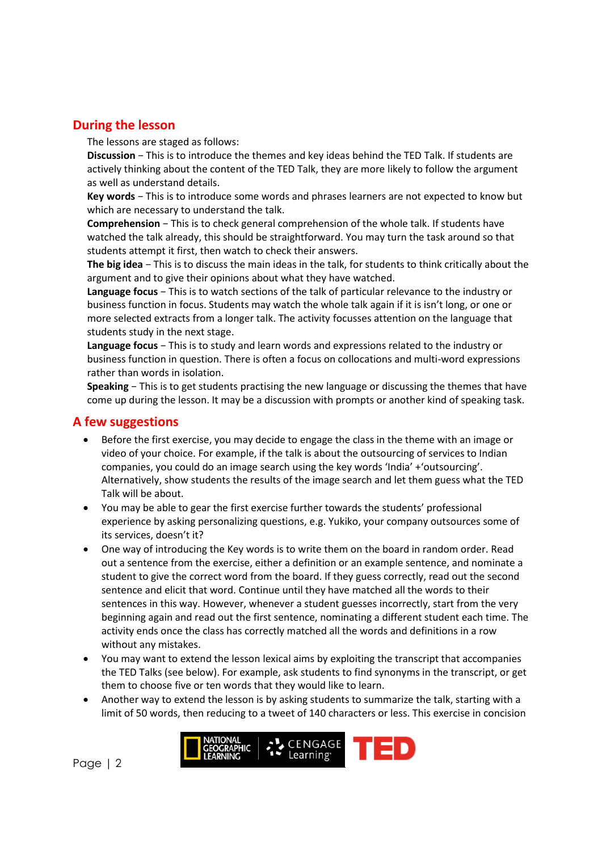#### **During the lesson**

The lessons are staged as follows:

**Discussion** − This is to introduce the themes and key ideas behind the TED Talk. If students are actively thinking about the content of the TED Talk, they are more likely to follow the argument as well as understand details.

**Key words** − This is to introduce some words and phrases learners are not expected to know but which are necessary to understand the talk.

**Comprehension** − This is to check general comprehension of the whole talk. If students have watched the talk already, this should be straightforward. You may turn the task around so that students attempt it first, then watch to check their answers.

**The big idea** − This is to discuss the main ideas in the talk, for students to think critically about the argument and to give their opinions about what they have watched.

**Language focus** − This is to watch sections of the talk of particular relevance to the industry or business function in focus. Students may watch the whole talk again if it is isn't long, or one or more selected extracts from a longer talk. The activity focusses attention on the language that students study in the next stage.

**Language focus** − This is to study and learn words and expressions related to the industry or business function in question. There is often a focus on collocations and multi-word expressions rather than words in isolation.

**Speaking** − This is to get students practising the new language or discussing the themes that have come up during the lesson. It may be a discussion with prompts or another kind of speaking task.

#### **A few suggestions**

- Before the first exercise, you may decide to engage the class in the theme with an image or video of your choice. For example, if the talk is about the outsourcing of services to Indian companies, you could do an image search using the key words 'India' +'outsourcing'. Alternatively, show students the results of the image search and let them guess what the TED Talk will be about.
- You may be able to gear the first exercise further towards the students' professional experience by asking personalizing questions, e.g. Yukiko, your company outsources some of its services, doesn't it?
- One way of introducing the Key words is to write them on the board in random order. Read out a sentence from the exercise, either a definition or an example sentence, and nominate a student to give the correct word from the board. If they guess correctly, read out the second sentence and elicit that word. Continue until they have matched all the words to their sentences in this way. However, whenever a student guesses incorrectly, start from the very beginning again and read out the first sentence, nominating a different student each time. The activity ends once the class has correctly matched all the words and definitions in a row without any mistakes.
- You may want to extend the lesson lexical aims by exploiting the transcript that accompanies the TED Talks (see below). For example, ask students to find synonyms in the transcript, or get them to choose five or ten words that they would like to learn.
- Another way to extend the lesson is by asking students to summarize the talk, starting with a limit of 50 words, then reducing to a tweet of 140 characters or less. This exercise in concision



Page | 2